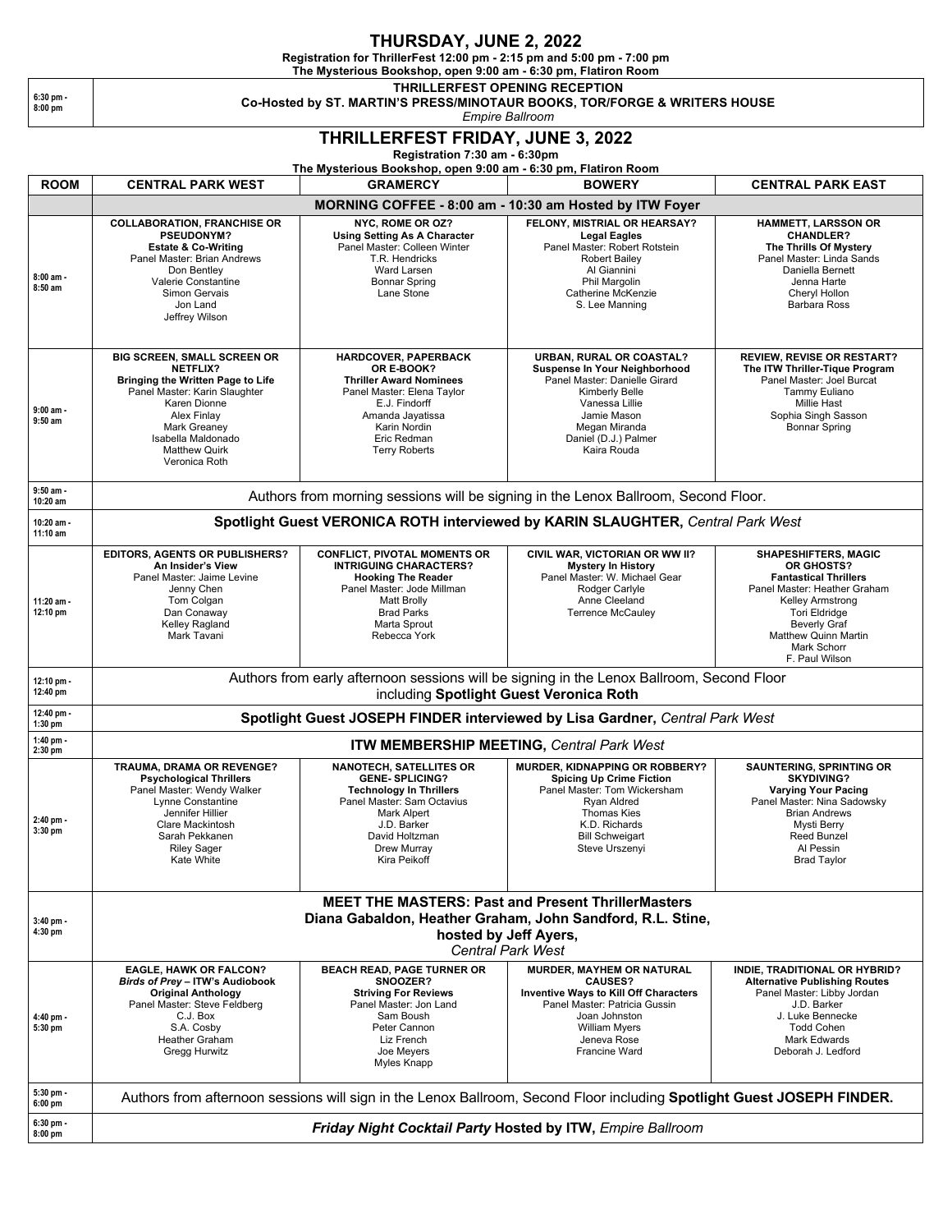## **THURSDAY, JUNE 2, 2022**

**Registration for ThrillerFest 12:00 pm - 2:15 pm and 5:00 pm - 7:00 pm**

**The Mysterious Bookshop, open 9:00 am - 6:30 pm, Flatiron Room THRILLERFEST OPENING RECEPTION**

**6:30 pm - 8:00 pm**

**Co-Hosted by ST. MARTIN'S PRESS/MINOTAUR BOOKS, TOR/FORGE & WRITERS HOUSE**

*Empire Ballroom*

## **THRILLERFEST FRIDAY, JUNE 3, 2022**

**Registration 7:30 am - 6:30pm** 

**The Mysterious Bookshop, open 9:00 am - 6:30 pm, Flatiron Room**

| <b>ROOM</b>              | <b>CENTRAL PARK WEST</b>                                                                                                                                                                                                                  | The Mysterious Bookshop, open 9:00 am - 6:30 pm, Flatiron Room<br><b>GRAMERCY</b>                                                                                                                          |                                                                                                                                                                                                              | <b>CENTRAL PARK EAST</b>                                                                                                                                                                                                              |  |  |
|--------------------------|-------------------------------------------------------------------------------------------------------------------------------------------------------------------------------------------------------------------------------------------|------------------------------------------------------------------------------------------------------------------------------------------------------------------------------------------------------------|--------------------------------------------------------------------------------------------------------------------------------------------------------------------------------------------------------------|---------------------------------------------------------------------------------------------------------------------------------------------------------------------------------------------------------------------------------------|--|--|
|                          |                                                                                                                                                                                                                                           |                                                                                                                                                                                                            | <b>BOWERY</b>                                                                                                                                                                                                |                                                                                                                                                                                                                                       |  |  |
|                          |                                                                                                                                                                                                                                           |                                                                                                                                                                                                            | MORNING COFFEE - 8:00 am - 10:30 am Hosted by ITW Foyer                                                                                                                                                      |                                                                                                                                                                                                                                       |  |  |
| 8:00 am -<br>8:50 am     | <b>COLLABORATION, FRANCHISE OR</b><br>PSEUDONYM?<br><b>Estate &amp; Co-Writing</b><br>Panel Master: Brian Andrews<br>Don Bentley<br>Valerie Constantine<br>Simon Gervais<br>Jon Land<br>Jeffrey Wilson                                    | NYC, ROME OR OZ?<br><b>Using Setting As A Character</b><br>Panel Master: Colleen Winter<br>T.R. Hendricks<br>Ward Larsen<br><b>Bonnar Spring</b><br>Lane Stone                                             | FELONY, MISTRIAL OR HEARSAY?<br><b>Legal Eagles</b><br>Panel Master: Robert Rotstein<br><b>Robert Bailey</b><br>Al Giannini<br>Phil Margolin<br>Catherine McKenzie<br>S. Lee Manning                         | <b>HAMMETT, LARSSON OR</b><br><b>CHANDLER?</b><br>The Thrills Of Mystery<br>Panel Master: Linda Sands<br>Daniella Bernett<br>Jenna Harte<br>Cheryl Hollon<br><b>Barbara Ross</b>                                                      |  |  |
| $9:00$ am -<br>$9:50$ am | BIG SCREEN, SMALL SCREEN OR<br><b>NETFLIX?</b><br><b>Bringing the Written Page to Life</b><br>Panel Master: Karin Slaughter<br>Karen Dionne<br>Alex Finlay<br>Mark Greaney<br>Isabella Maldonado<br><b>Matthew Quirk</b><br>Veronica Roth | HARDCOVER, PAPERBACK<br>OR E-BOOK?<br><b>Thriller Award Nominees</b><br>Panel Master: Elena Taylor<br>E.J. Findorff<br>Amanda Jayatissa<br>Karin Nordin<br>Eric Redman<br><b>Terry Roberts</b>             | URBAN, RURAL OR COASTAL?<br>Suspense In Your Neighborhood<br>Panel Master: Danielle Girard<br>Kimberly Belle<br>Vanessa Lillie<br>Jamie Mason<br>Megan Miranda<br>Daniel (D.J.) Palmer<br>Kaira Rouda        | <b>REVIEW, REVISE OR RESTART?</b><br>The ITW Thriller-Tique Program<br>Panel Master: Joel Burcat<br>Tammy Euliano<br><b>Millie Hast</b><br>Sophia Singh Sasson<br>Bonnar Spring                                                       |  |  |
| $9:50$ am -<br>10:20 am  | Authors from morning sessions will be signing in the Lenox Ballroom, Second Floor.                                                                                                                                                        |                                                                                                                                                                                                            |                                                                                                                                                                                                              |                                                                                                                                                                                                                                       |  |  |
| 10:20 am -<br>11:10 am   | Spotlight Guest VERONICA ROTH interviewed by KARIN SLAUGHTER, Central Park West                                                                                                                                                           |                                                                                                                                                                                                            |                                                                                                                                                                                                              |                                                                                                                                                                                                                                       |  |  |
| 11:20 am -<br>12:10 pm   | <b>EDITORS, AGENTS OR PUBLISHERS?</b><br>An Insider's View<br>Panel Master: Jaime Levine<br>Jenny Chen<br>Tom Colgan<br>Dan Conaway<br>Kelley Ragland<br>Mark Tavani                                                                      | <b>CONFLICT, PIVOTAL MOMENTS OR</b><br><b>INTRIGUING CHARACTERS?</b><br><b>Hooking The Reader</b><br>Panel Master: Jode Millman<br><b>Matt Brolly</b><br><b>Brad Parks</b><br>Marta Sprout<br>Rebecca York | CIVIL WAR, VICTORIAN OR WW II?<br><b>Mystery In History</b><br>Panel Master: W. Michael Gear<br>Rodger Carlyle<br>Anne Cleeland<br><b>Terrence McCauley</b>                                                  | <b>SHAPESHIFTERS, MAGIC</b><br>OR GHOSTS?<br><b>Fantastical Thrillers</b><br>Panel Master: Heather Graham<br>Kelley Armstrong<br><b>Tori Eldridge</b><br><b>Beverly Graf</b><br>Matthew Quinn Martin<br>Mark Schorr<br>F. Paul Wilson |  |  |
| 12:10 pm -<br>12:40 pm   | Authors from early afternoon sessions will be signing in the Lenox Ballroom, Second Floor<br>including Spotlight Guest Veronica Roth                                                                                                      |                                                                                                                                                                                                            |                                                                                                                                                                                                              |                                                                                                                                                                                                                                       |  |  |
| 12:40 pm -<br>$1:30$ pm  | Spotlight Guest JOSEPH FINDER interviewed by Lisa Gardner, Central Park West                                                                                                                                                              |                                                                                                                                                                                                            |                                                                                                                                                                                                              |                                                                                                                                                                                                                                       |  |  |
| 1:40 pm -<br>2:30 pm     | ITW MEMBERSHIP MEETING, Central Park West                                                                                                                                                                                                 |                                                                                                                                                                                                            |                                                                                                                                                                                                              |                                                                                                                                                                                                                                       |  |  |
| $2:40$ pm -<br>3:30 pm   | TRAUMA, DRAMA OR REVENGE?<br><b>Psychological Thrillers</b><br>Panel Master: Wendy Walker<br>Lynne Constantine<br>Jennifer Hillier<br><b>Clare Mackintosh</b><br>Sarah Pekkanen<br><b>Riley Sager</b><br>Kate White                       | <b>NANOTECH, SATELLITES OR</b><br><b>GENE-SPLICING?</b><br><b>Technology In Thrillers</b><br>Panel Master: Sam Octavius<br>Mark Alpert<br>J.D. Barker<br>David Holtzman<br>Drew Murray<br>Kira Peikoff     | MURDER, KIDNAPPING OR ROBBERY?<br><b>Spicing Up Crime Fiction</b><br>Panel Master: Tom Wickersham<br><b>Ryan Aldred</b><br><b>Thomas Kies</b><br>K.D. Richards<br><b>Bill Schweigart</b><br>Steve Urszenyi   | <b>SAUNTERING, SPRINTING OR</b><br><b>SKYDIVING?</b><br><b>Varying Your Pacing</b><br>Panel Master: Nina Sadowsky<br><b>Brian Andrews</b><br>Mysti Berry<br><b>Reed Bunzel</b><br>Al Pessin<br><b>Brad Taylor</b>                     |  |  |
|                          | <b>MEET THE MASTERS: Past and Present ThrillerMasters</b>                                                                                                                                                                                 |                                                                                                                                                                                                            |                                                                                                                                                                                                              |                                                                                                                                                                                                                                       |  |  |
| 3:40 pm -                |                                                                                                                                                                                                                                           |                                                                                                                                                                                                            | Diana Gabaldon, Heather Graham, John Sandford, R.L. Stine,                                                                                                                                                   |                                                                                                                                                                                                                                       |  |  |
| 4:30 pm                  | hosted by Jeff Ayers,<br><b>Central Park West</b>                                                                                                                                                                                         |                                                                                                                                                                                                            |                                                                                                                                                                                                              |                                                                                                                                                                                                                                       |  |  |
| 4:40 pm -<br>5:30 pm     | <b>EAGLE, HAWK OR FALCON?</b><br>Birds of Prey - ITW's Audiobook<br><b>Original Anthology</b><br>Panel Master: Steve Feldberg<br>C.J. Box<br>S.A. Cosby<br><b>Heather Graham</b><br>Gregg Hurwitz                                         | <b>BEACH READ, PAGE TURNER OR</b><br>SNOOZER?<br><b>Striving For Reviews</b><br>Panel Master: Jon Land<br>Sam Boush<br>Peter Cannon<br>Liz French<br>Joe Meyers<br>Myles Knapp                             | <b>MURDER, MAYHEM OR NATURAL</b><br><b>CAUSES?</b><br><b>Inventive Ways to Kill Off Characters</b><br>Panel Master: Patricia Gussin<br>Joan Johnston<br><b>William Myers</b><br>Jeneva Rose<br>Francine Ward | INDIE, TRADITIONAL OR HYBRID?<br><b>Alternative Publishing Routes</b><br>Panel Master: Libby Jordan<br>J.D. Barker<br>J. Luke Bennecke<br><b>Todd Cohen</b><br><b>Mark Edwards</b><br>Deborah J. Ledford                              |  |  |
| 5:30 pm -<br>$6:00$ pm   | Authors from afternoon sessions will sign in the Lenox Ballroom, Second Floor including Spotlight Guest JOSEPH FINDER.                                                                                                                    |                                                                                                                                                                                                            |                                                                                                                                                                                                              |                                                                                                                                                                                                                                       |  |  |
| $6:30$ pm -<br>$8:00$ pm | Friday Night Cocktail Party Hosted by ITW, Empire Ballroom                                                                                                                                                                                |                                                                                                                                                                                                            |                                                                                                                                                                                                              |                                                                                                                                                                                                                                       |  |  |